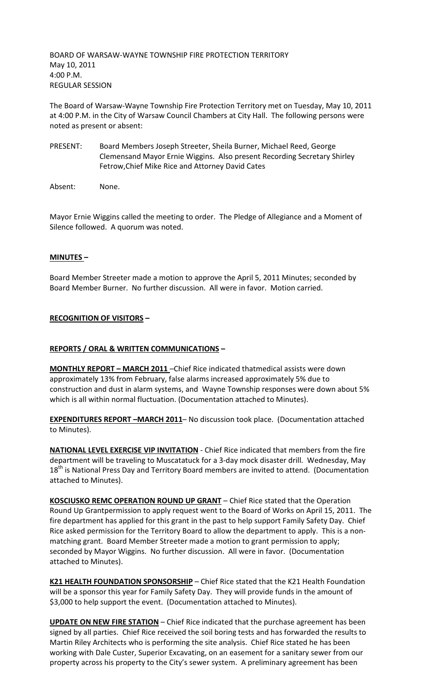BOARD OF WARSAW-WAYNE TOWNSHIP FIRE PROTECTION TERRITORY May 10, 2011 4:00 P.M. REGULAR SESSION

The Board of Warsaw-Wayne Township Fire Protection Territory met on Tuesday, May 10, 2011 at 4:00 P.M. in the City of Warsaw Council Chambers at City Hall. The following persons were noted as present or absent:

PRESENT: Board Members Joseph Streeter, Sheila Burner, Michael Reed, George Clemensand Mayor Ernie Wiggins. Also present Recording Secretary Shirley Fetrow,Chief Mike Rice and Attorney David Cates

Absent: None.

Mayor Ernie Wiggins called the meeting to order. The Pledge of Allegiance and a Moment of Silence followed. A quorum was noted.

# **MINUTES –**

Board Member Streeter made a motion to approve the April 5, 2011 Minutes; seconded by Board Member Burner. No further discussion. All were in favor. Motion carried.

## **RECOGNITION OF VISITORS –**

## **REPORTS / ORAL & WRITTEN COMMUNICATIONS –**

**MONTHLY REPORT – MARCH 2011** –Chief Rice indicated thatmedical assists were down approximately 13% from February, false alarms increased approximately 5% due to construction and dust in alarm systems, and Wayne Township responses were down about 5% which is all within normal fluctuation. (Documentation attached to Minutes).

**EXPENDITURES REPORT –MARCH 2011**– No discussion took place. (Documentation attached to Minutes).

**NATIONAL LEVEL EXERCISE VIP INVITATION** - Chief Rice indicated that members from the fire department will be traveling to Muscatatuck for a 3-day mock disaster drill. Wednesday, May 18<sup>th</sup> is National Press Day and Territory Board members are invited to attend. (Documentation attached to Minutes).

**KOSCIUSKO REMC OPERATION ROUND UP GRANT** – Chief Rice stated that the Operation Round Up Grantpermission to apply request went to the Board of Works on April 15, 2011. The fire department has applied for this grant in the past to help support Family Safety Day. Chief Rice asked permission for the Territory Board to allow the department to apply. This is a nonmatching grant. Board Member Streeter made a motion to grant permission to apply; seconded by Mayor Wiggins. No further discussion. All were in favor. (Documentation attached to Minutes).

**K21 HEALTH FOUNDATION SPONSORSHIP** – Chief Rice stated that the K21 Health Foundation will be a sponsor this year for Family Safety Day. They will provide funds in the amount of \$3,000 to help support the event. (Documentation attached to Minutes).

**UPDATE ON NEW FIRE STATION** – Chief Rice indicated that the purchase agreement has been signed by all parties. Chief Rice received the soil boring tests and has forwarded the results to Martin Riley Architects who is performing the site analysis. Chief Rice stated he has been working with Dale Custer, Superior Excavating, on an easement for a sanitary sewer from our property across his property to the City's sewer system. A preliminary agreement has been